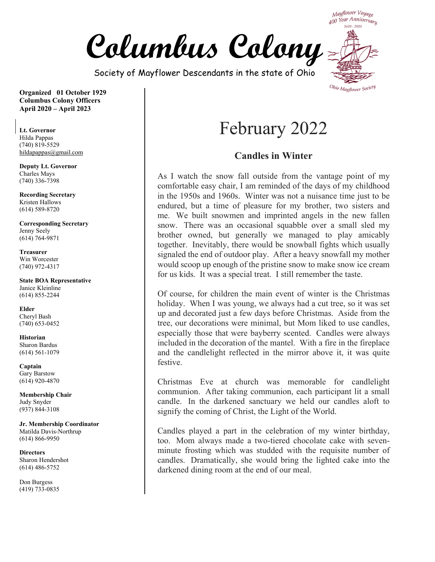

Society of Mayflower Descendants in the state of Ohio

Mayflower Voyage 400 Year Anniversary  $1620 - 2020$ 

**Organized 01 October 1929 Columbus Colony Officers April 2020 – April 2023** 

**Lt. Governor**  Hilda Pappas (740) 819-5529 hildapappas@gmail.com

**Deputy Lt. Governor**  Charles Mays (740) 336-7398

**Recording Secretary**  Kristen Hallows (614) 589-8720

**Corresponding Secretary**  Jenny Seely (614) 764-9871

**Treasurer**  Win Worcester (740) 972-4317

**State BOA Representative**  Janice Kleinline (614) 855-2244

**Elder**  Cheryl Bash (740) 653-0452

**Historian**  Sharon Bardus (614) 561-1079

**Captain**  Gary Barstow (614) 920-4870

**Membership Chair**  Judy Snyder (937) 844-3108

**Jr. Membership Coordinator** Matilda Davis-Northrup (614) 866-9950

**Directors**  Sharon Hendershot (614) 486-5752

Don Burgess (419) 733-0835

# February 2022

#### **Candles in Winter**

As I watch the snow fall outside from the vantage point of my comfortable easy chair, I am reminded of the days of my childhood in the 1950s and 1960s. Winter was not a nuisance time just to be endured, but a time of pleasure for my brother, two sisters and me. We built snowmen and imprinted angels in the new fallen snow. There was an occasional squabble over a small sled my brother owned, but generally we managed to play amicably together. Inevitably, there would be snowball fights which usually signaled the end of outdoor play. After a heavy snowfall my mother would scoop up enough of the pristine snow to make snow ice cream for us kids. It was a special treat. I still remember the taste.

Of course, for children the main event of winter is the Christmas holiday. When I was young, we always had a cut tree, so it was set up and decorated just a few days before Christmas. Aside from the tree, our decorations were minimal, but Mom liked to use candles, especially those that were bayberry scented. Candles were always included in the decoration of the mantel. With a fire in the fireplace and the candlelight reflected in the mirror above it, it was quite festive.

Christmas Eve at church was memorable for candlelight communion. After taking communion, each participant lit a small candle. In the darkened sanctuary we held our candles aloft to signify the coming of Christ, the Light of the World.

Candles played a part in the celebration of my winter birthday, too. Mom always made a two-tiered chocolate cake with sevenminute frosting which was studded with the requisite number of candles. Dramatically, she would bring the lighted cake into the darkened dining room at the end of our meal.

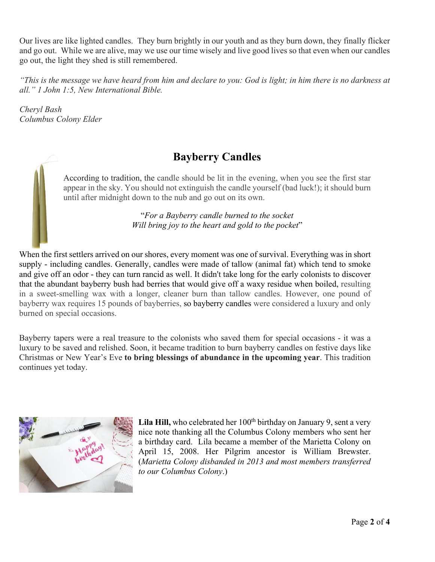Our lives are like lighted candles. They burn brightly in our youth and as they burn down, they finally flicker and go out. While we are alive, may we use our time wisely and live good lives so that even when our candles go out, the light they shed is still remembered.

*"This is the message we have heard from him and declare to you: God is light; in him there is no darkness at all." 1 John 1:5, New International Bible.*

*Cheryl Bash Columbus Colony Elder*

#### **Bayberry Candles**

According to tradition, the candle should be lit in the evening, when you see the first star appear in the sky. You should not extinguish the candle yourself (bad luck!); it should burn until after midnight down to the nub and go out on its own.

> "*For a Bayberry candle burned to the socket Will bring joy to the heart and gold to the pocket*"

When the first settlers arrived on our shores, every moment was one of survival. Everything was in short supply - including candles. Generally, candles were made of tallow (animal fat) which tend to smoke and give off an odor - they can turn rancid as well. It didn't take long for the early colonists to discover that the abundant bayberry bush had berries that would give off a waxy residue when boiled, resulting in a sweet-smelling wax with a longer, cleaner burn than tallow candles. However, one pound of bayberry wax requires 15 pounds of bayberries, so bayberry candles were considered a luxury and only burned on special occasions.

Bayberry tapers were a real treasure to the colonists who saved them for special occasions - it was a luxury to be saved and relished. Soon, it became tradition to burn bayberry candles on festive days like Christmas or New Year's Eve **to bring blessings of abundance in the upcoming year**. This tradition continues yet today.



Lila Hill, who celebrated her 100<sup>th</sup> birthday on January 9, sent a very nice note thanking all the Columbus Colony members who sent her a birthday card. Lila became a member of the Marietta Colony on April 15, 2008. Her Pilgrim ancestor is William Brewster. (*Marietta Colony disbanded in 2013 and most members transferred to our Columbus Colony*.)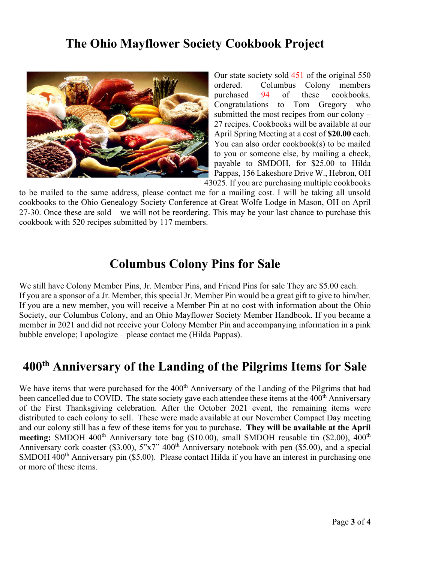### **The Ohio Mayflower Society Cookbook Project**



Our state society sold 451 of the original 550 ordered. Columbus Colony members purchased 94 of these cookbooks. Congratulations to Tom Gregory who submitted the most recipes from our colony – 27 recipes. Cookbooks will be available at our April Spring Meeting at a cost of **\$20.00** each. You can also order cookbook(s) to be mailed to you or someone else, by mailing a check, payable to SMDOH, for \$25.00 to Hilda Pappas, 156 Lakeshore Drive W., Hebron, OH 43025. If you are purchasing multiple cookbooks

to be mailed to the same address, please contact me for a mailing cost. I will be taking all unsold cookbooks to the Ohio Genealogy Society Conference at Great Wolfe Lodge in Mason, OH on April 27-30. Once these are sold – we will not be reordering. This may be your last chance to purchase this cookbook with 520 recipes submitted by 117 members.

#### **Columbus Colony Pins for Sale**

We still have Colony Member Pins, Jr. Member Pins, and Friend Pins for sale They are \$5.00 each. If you are a sponsor of a Jr. Member, this special Jr. Member Pin would be a great gift to give to him/her. If you are a new member, you will receive a Member Pin at no cost with information about the Ohio Society, our Columbus Colony, and an Ohio Mayflower Society Member Handbook. If you became a member in 2021 and did not receive your Colony Member Pin and accompanying information in a pink bubble envelope; I apologize – please contact me (Hilda Pappas).

# **400th Anniversary of the Landing of the Pilgrims Items for Sale**

We have items that were purchased for the 400<sup>th</sup> Anniversary of the Landing of the Pilgrims that had been cancelled due to COVID. The state society gave each attendee these items at the 400<sup>th</sup> Anniversary of the First Thanksgiving celebration. After the October 2021 event, the remaining items were distributed to each colony to sell. These were made available at our November Compact Day meeting and our colony still has a few of these items for you to purchase. **They will be available at the April**  meeting: SMDOH 400<sup>th</sup> Anniversary tote bag (\$10.00), small SMDOH reusable tin (\$2.00), 400<sup>th</sup> Anniversary cork coaster (\$3.00),  $5''x7''$  400<sup>th</sup> Anniversary notebook with pen (\$5.00), and a special SMDOH 400<sup>th</sup> Anniversary pin (\$5.00). Please contact Hilda if you have an interest in purchasing one or more of these items.